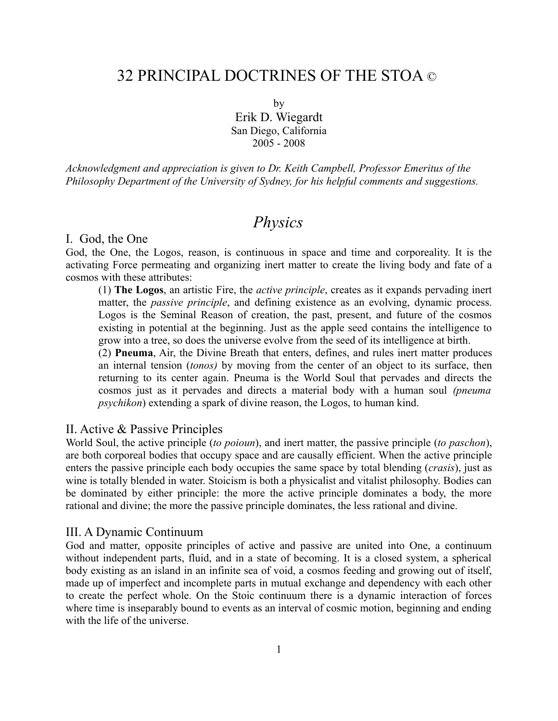# 32 PRINCIPAL DOCTRINES OF THE STOA ©

by

Erik D. Wiegardt San Diego, California 2005 - 2008

*Acknowledgment and appreciation is given to Dr. Keith Campbell, Professor Emeritus of the Philosophy Department of the University of Sydney, for his helpful comments and suggestions.* 

# *Physics*

#### I. God, the One

God, the One, the Logos, reason, is continuous in space and time and corporeality. It is the activating Force permeating and organizing inert matter to create the living body and fate of a cosmos with these attributes:

(1) **The Logos**, an artistic Fire, the *active principle*, creates as it expands pervading inert matter, the *passive principle*, and defining existence as an evolving, dynamic process. Logos is the Seminal Reason of creation, the past, present, and future of the cosmos existing in potential at the beginning. Just as the apple seed contains the intelligence to grow into a tree, so does the universe evolve from the seed of its intelligence at birth.

(2) **Pneuma**, Air, the Divine Breath that enters, defines, and rules inert matter produces an internal tension (*tonos)* by moving from the center of an object to its surface, then returning to its center again. Pneuma is the World Soul that pervades and directs the cosmos just as it pervades and directs a material body with a human soul *(pneuma psychikon*) extending a spark of divine reason, the Logos, to human kind.

### II. Active & Passive Principles

World Soul, the active principle (*to poioun*), and inert matter, the passive principle (*to paschon*), are both corporeal bodies that occupy space and are causally efficient. When the active principle enters the passive principle each body occupies the same space by total blending (*crasis*), just as wine is totally blended in water. Stoicism is both a physicalist and vitalist philosophy. Bodies can be dominated by either principle: the more the active principle dominates a body, the more rational and divine; the more the passive principle dominates, the less rational and divine.

#### III. A Dynamic Continuum

God and matter, opposite principles of active and passive are united into One, a continuum without independent parts, fluid, and in a state of becoming. It is a closed system, a spherical body existing as an island in an infinite sea of void, a cosmos feeding and growing out of itself, made up of imperfect and incomplete parts in mutual exchange and dependency with each other to create the perfect whole. On the Stoic continuum there is a dynamic interaction of forces where time is inseparably bound to events as an interval of cosmic motion, beginning and ending with the life of the universe.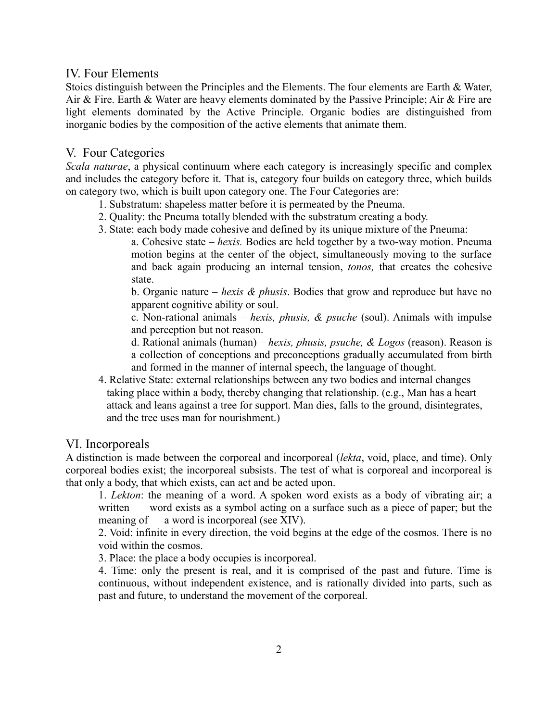# IV. Four Elements

Stoics distinguish between the Principles and the Elements. The four elements are Earth & Water, Air & Fire. Earth & Water are heavy elements dominated by the Passive Principle; Air & Fire are light elements dominated by the Active Principle. Organic bodies are distinguished from inorganic bodies by the composition of the active elements that animate them.

# V. Four Categories

*Scala naturae*, a physical continuum where each category is increasingly specific and complex and includes the category before it. That is, category four builds on category three, which builds on category two, which is built upon category one. The Four Categories are:

- 1. Substratum: shapeless matter before it is permeated by the Pneuma.
- 2. Quality: the Pneuma totally blended with the substratum creating a body.
- 3. State: each body made cohesive and defined by its unique mixture of the Pneuma:

a. Cohesive state – *hexis.* Bodies are held together by a two-way motion. Pneuma motion begins at the center of the object, simultaneously moving to the surface and back again producing an internal tension, *tonos,* that creates the cohesive state.

b. Organic nature – *hexis & phusis*. Bodies that grow and reproduce but have no apparent cognitive ability or soul.

c. Non-rational animals – *hexis, phusis, & psuche* (soul). Animals with impulse and perception but not reason.

d. Rational animals (human) – *hexis, phusis, psuche, & Logos* (reason). Reason is a collection of conceptions and preconceptions gradually accumulated from birth and formed in the manner of internal speech, the language of thought.

4. Relative State: external relationships between any two bodies and internal changes taking place within a body, thereby changing that relationship. (e.g., Man has a heart attack and leans against a tree for support. Man dies, falls to the ground, disintegrates, and the tree uses man for nourishment.)

# VI. Incorporeals

A distinction is made between the corporeal and incorporeal (*lekta*, void, place, and time). Only corporeal bodies exist; the incorporeal subsists. The test of what is corporeal and incorporeal is that only a body, that which exists, can act and be acted upon.

1. *Lekton*: the meaning of a word. A spoken word exists as a body of vibrating air; a written word exists as a symbol acting on a surface such as a piece of paper; but the meaning of a word is incorporeal (see XIV).

2. Void: infinite in every direction, the void begins at the edge of the cosmos. There is no void within the cosmos.

3. Place: the place a body occupies is incorporeal.

4. Time: only the present is real, and it is comprised of the past and future. Time is continuous, without independent existence, and is rationally divided into parts, such as past and future, to understand the movement of the corporeal.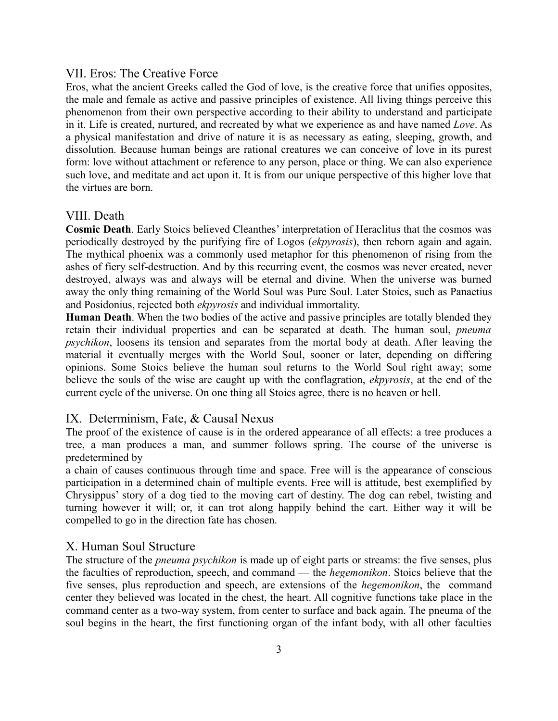### VII. Eros: The Creative Force

Eros, what the ancient Greeks called the God of love, is the creative force that unifies opposites, the male and female as active and passive principles of existence. All living things perceive this phenomenon from their own perspective according to their ability to understand and participate in it. Life is created, nurtured, and recreated by what we experience as and have named *Love*. As a physical manifestation and drive of nature it is as necessary as eating, sleeping, growth, and dissolution. Because human beings are rational creatures we can conceive of love in its purest form: love without attachment or reference to any person, place or thing. We can also experience such love, and meditate and act upon it. It is from our unique perspective of this higher love that the virtues are born.

### VIII. Death

**Cosmic Death**. Early Stoics believed Cleanthes' interpretation of Heraclitus that the cosmos was periodically destroyed by the purifying fire of Logos (*ekpyrosis*), then reborn again and again. The mythical phoenix was a commonly used metaphor for this phenomenon of rising from the ashes of fiery self-destruction. And by this recurring event, the cosmos was never created, never destroyed, always was and always will be eternal and divine. When the universe was burned away the only thing remaining of the World Soul was Pure Soul. Later Stoics, such as Panaetius and Posidonius, rejected both *ekpyrosis* and individual immortality.

**Human Death**. When the two bodies of the active and passive principles are totally blended they retain their individual properties and can be separated at death. The human soul, *pneuma psychikon*, loosens its tension and separates from the mortal body at death. After leaving the material it eventually merges with the World Soul, sooner or later, depending on differing opinions. Some Stoics believe the human soul returns to the World Soul right away; some believe the souls of the wise are caught up with the conflagration, *ekpyrosis*, at the end of the current cycle of the universe. On one thing all Stoics agree, there is no heaven or hell.

#### IX. Determinism, Fate, & Causal Nexus

The proof of the existence of cause is in the ordered appearance of all effects: a tree produces a tree, a man produces a man, and summer follows spring. The course of the universe is predetermined by

a chain of causes continuous through time and space. Free will is the appearance of conscious participation in a determined chain of multiple events. Free will is attitude, best exemplified by Chrysippus' story of a dog tied to the moving cart of destiny. The dog can rebel, twisting and turning however it will; or, it can trot along happily behind the cart. Either way it will be compelled to go in the direction fate has chosen.

## X. Human Soul Structure

The structure of the *pneuma psychikon* is made up of eight parts or streams: the five senses, plus the faculties of reproduction, speech, and command — the *hegemonikon*. Stoics believe that the five senses, plus reproduction and speech, are extensions of the *hegemonikon*, the command center they believed was located in the chest, the heart. All cognitive functions take place in the command center as a two-way system, from center to surface and back again. The pneuma of the soul begins in the heart, the first functioning organ of the infant body, with all other faculties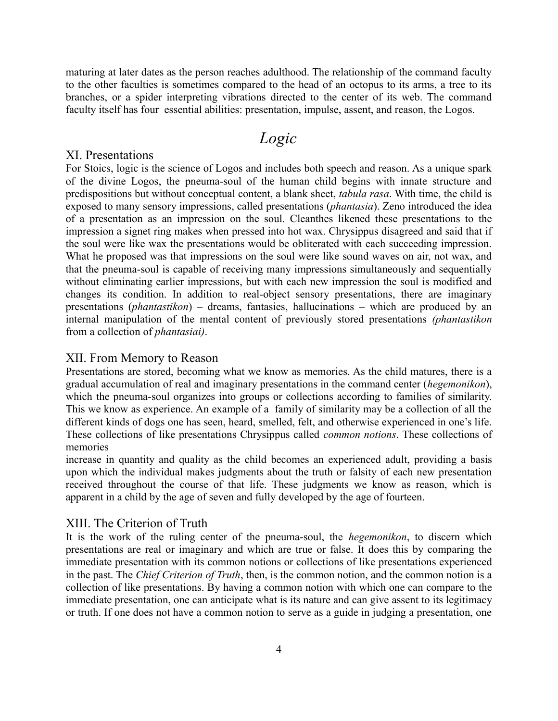maturing at later dates as the person reaches adulthood. The relationship of the command faculty to the other faculties is sometimes compared to the head of an octopus to its arms, a tree to its branches, or a spider interpreting vibrations directed to the center of its web. The command faculty itself has four essential abilities: presentation, impulse, assent, and reason, the Logos.

# *Logic*

### XI. Presentations

For Stoics, logic is the science of Logos and includes both speech and reason. As a unique spark of the divine Logos, the pneuma-soul of the human child begins with innate structure and predispositions but without conceptual content, a blank sheet, *tabula rasa*. With time, the child is exposed to many sensory impressions, called presentations (*phantasia*). Zeno introduced the idea of a presentation as an impression on the soul. Cleanthes likened these presentations to the impression a signet ring makes when pressed into hot wax. Chrysippus disagreed and said that if the soul were like wax the presentations would be obliterated with each succeeding impression. What he proposed was that impressions on the soul were like sound waves on air, not wax, and that the pneuma-soul is capable of receiving many impressions simultaneously and sequentially without eliminating earlier impressions, but with each new impression the soul is modified and changes its condition. In addition to real-object sensory presentations, there are imaginary presentations (*phantastikon*) – dreams, fantasies, hallucinations – which are produced by an internal manipulation of the mental content of previously stored presentations *(phantastikon* from a collection of *phantasiai)*.

#### XII. From Memory to Reason

Presentations are stored, becoming what we know as memories. As the child matures, there is a gradual accumulation of real and imaginary presentations in the command center (*hegemonikon*), which the pneuma-soul organizes into groups or collections according to families of similarity. This we know as experience. An example of a family of similarity may be a collection of all the different kinds of dogs one has seen, heard, smelled, felt, and otherwise experienced in one's life. These collections of like presentations Chrysippus called *common notions*. These collections of memories

increase in quantity and quality as the child becomes an experienced adult, providing a basis upon which the individual makes judgments about the truth or falsity of each new presentation received throughout the course of that life. These judgments we know as reason, which is apparent in a child by the age of seven and fully developed by the age of fourteen.

### XIII. The Criterion of Truth

It is the work of the ruling center of the pneuma-soul, the *hegemonikon*, to discern which presentations are real or imaginary and which are true or false. It does this by comparing the immediate presentation with its common notions or collections of like presentations experienced in the past. The *Chief Criterion of Truth*, then, is the common notion, and the common notion is a collection of like presentations. By having a common notion with which one can compare to the immediate presentation, one can anticipate what is its nature and can give assent to its legitimacy or truth. If one does not have a common notion to serve as a guide in judging a presentation, one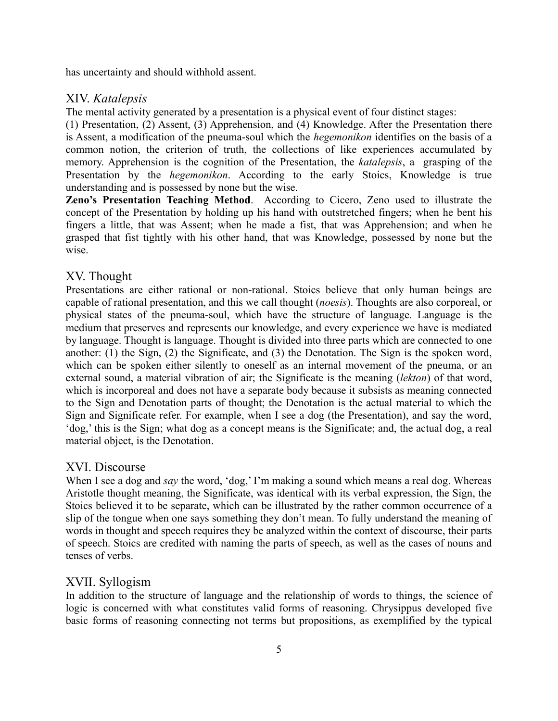has uncertainty and should withhold assent.

### XIV. *Katalepsis*

The mental activity generated by a presentation is a physical event of four distinct stages:

(1) Presentation, (2) Assent, (3) Apprehension, and (4) Knowledge. After the Presentation there is Assent, a modification of the pneuma-soul which the *hegemonikon* identifies on the basis of a common notion, the criterion of truth, the collections of like experiences accumulated by memory. Apprehension is the cognition of the Presentation, the *katalepsis*, a grasping of the Presentation by the *hegemonikon*. According to the early Stoics, Knowledge is true understanding and is possessed by none but the wise.

**Zeno's Presentation Teaching Method**. According to Cicero, Zeno used to illustrate the concept of the Presentation by holding up his hand with outstretched fingers; when he bent his fingers a little, that was Assent; when he made a fist, that was Apprehension; and when he grasped that fist tightly with his other hand, that was Knowledge, possessed by none but the wise.

# XV. Thought

Presentations are either rational or non-rational. Stoics believe that only human beings are capable of rational presentation, and this we call thought (*noesis*). Thoughts are also corporeal, or physical states of the pneuma-soul, which have the structure of language. Language is the medium that preserves and represents our knowledge, and every experience we have is mediated by language. Thought is language. Thought is divided into three parts which are connected to one another: (1) the Sign, (2) the Significate, and (3) the Denotation. The Sign is the spoken word, which can be spoken either silently to oneself as an internal movement of the pneuma, or an external sound, a material vibration of air; the Significate is the meaning (*lekton*) of that word, which is incorporeal and does not have a separate body because it subsists as meaning connected to the Sign and Denotation parts of thought; the Denotation is the actual material to which the Sign and Significate refer. For example, when I see a dog (the Presentation), and say the word, 'dog,' this is the Sign; what dog as a concept means is the Significate; and, the actual dog, a real material object, is the Denotation.

# XVI. Discourse

When I see a dog and *say* the word, 'dog,' I'm making a sound which means a real dog. Whereas Aristotle thought meaning, the Significate, was identical with its verbal expression, the Sign, the Stoics believed it to be separate, which can be illustrated by the rather common occurrence of a slip of the tongue when one says something they don't mean. To fully understand the meaning of words in thought and speech requires they be analyzed within the context of discourse, their parts of speech. Stoics are credited with naming the parts of speech, as well as the cases of nouns and tenses of verbs.

# XVII. Syllogism

In addition to the structure of language and the relationship of words to things, the science of logic is concerned with what constitutes valid forms of reasoning. Chrysippus developed five basic forms of reasoning connecting not terms but propositions, as exemplified by the typical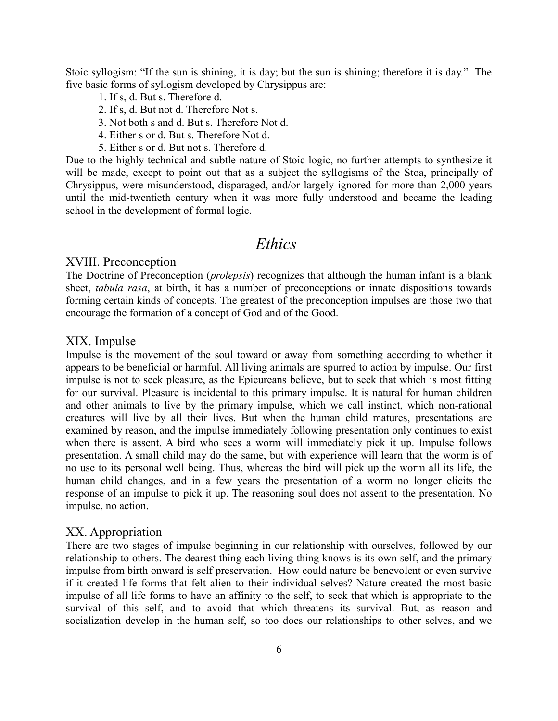Stoic syllogism: "If the sun is shining, it is day; but the sun is shining; therefore it is day." The five basic forms of syllogism developed by Chrysippus are:

- 1. If s, d. But s. Therefore d.
- 2. If s, d. But not d. Therefore Not s.
- 3. Not both s and d. But s. Therefore Not d.
- 4. Either s or d. But s. Therefore Not d.
- 5. Either s or d. But not s. Therefore d.

Due to the highly technical and subtle nature of Stoic logic, no further attempts to synthesize it will be made, except to point out that as a subject the syllogisms of the Stoa, principally of Chrysippus, were misunderstood, disparaged, and/or largely ignored for more than 2,000 years until the mid-twentieth century when it was more fully understood and became the leading school in the development of formal logic.

# *Ethics*

## XVIII. Preconception

The Doctrine of Preconception (*prolepsis*) recognizes that although the human infant is a blank sheet, *tabula rasa*, at birth, it has a number of preconceptions or innate dispositions towards forming certain kinds of concepts. The greatest of the preconception impulses are those two that encourage the formation of a concept of God and of the Good.

### XIX. Impulse

Impulse is the movement of the soul toward or away from something according to whether it appears to be beneficial or harmful. All living animals are spurred to action by impulse. Our first impulse is not to seek pleasure, as the Epicureans believe, but to seek that which is most fitting for our survival. Pleasure is incidental to this primary impulse. It is natural for human children and other animals to live by the primary impulse, which we call instinct, which non-rational creatures will live by all their lives. But when the human child matures, presentations are examined by reason, and the impulse immediately following presentation only continues to exist when there is assent. A bird who sees a worm will immediately pick it up. Impulse follows presentation. A small child may do the same, but with experience will learn that the worm is of no use to its personal well being. Thus, whereas the bird will pick up the worm all its life, the human child changes, and in a few years the presentation of a worm no longer elicits the response of an impulse to pick it up. The reasoning soul does not assent to the presentation. No impulse, no action.

#### XX. Appropriation

There are two stages of impulse beginning in our relationship with ourselves, followed by our relationship to others. The dearest thing each living thing knows is its own self, and the primary impulse from birth onward is self preservation. How could nature be benevolent or even survive if it created life forms that felt alien to their individual selves? Nature created the most basic impulse of all life forms to have an affinity to the self, to seek that which is appropriate to the survival of this self, and to avoid that which threatens its survival. But, as reason and socialization develop in the human self, so too does our relationships to other selves, and we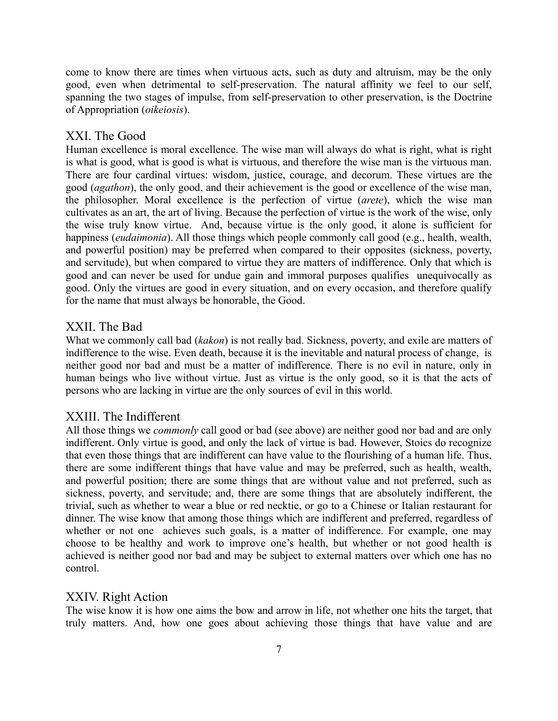come to know there are times when virtuous acts, such as duty and altruism, may be the only good, even when detrimental to self-preservation. The natural affinity we feel to our self, spanning the two stages of impulse, from self-preservation to other preservation, is the Doctrine of Appropriation (*oikeiosis*).

### XXI. The Good

Human excellence is moral excellence. The wise man will always do what is right, what is right is what is good, what is good is what is virtuous, and therefore the wise man is the virtuous man. There are four cardinal virtues: wisdom, justice, courage, and decorum. These virtues are the good (*agathon*), the only good, and their achievement is the good or excellence of the wise man, the philosopher. Moral excellence is the perfection of virtue (*arete*), which the wise man cultivates as an art, the art of living. Because the perfection of virtue is the work of the wise, only the wise truly know virtue. And, because virtue is the only good, it alone is sufficient for happiness (*eudaimonia*). All those things which people commonly call good (e.g., health, wealth, and powerful position) may be preferred when compared to their opposites (sickness, poverty, and servitude), but when compared to virtue they are matters of indifference. Only that which is good and can never be used for undue gain and immoral purposes qualifies unequivocally as good. Only the virtues are good in every situation, and on every occasion, and therefore qualify for the name that must always be honorable, the Good.

### XXII. The Bad

What we commonly call bad (*kakon*) is not really bad. Sickness, poverty, and exile are matters of indifference to the wise. Even death, because it is the inevitable and natural process of change, is neither good nor bad and must be a matter of indifference. There is no evil in nature, only in human beings who live without virtue. Just as virtue is the only good, so it is that the acts of persons who are lacking in virtue are the only sources of evil in this world.

#### XXIII. The Indifferent

All those things we *commonly* call good or bad (see above) are neither good nor bad and are only indifferent. Only virtue is good, and only the lack of virtue is bad. However, Stoics do recognize that even those things that are indifferent can have value to the flourishing of a human life. Thus, there are some indifferent things that have value and may be preferred, such as health, wealth, and powerful position; there are some things that are without value and not preferred, such as sickness, poverty, and servitude; and, there are some things that are absolutely indifferent, the trivial, such as whether to wear a blue or red necktie, or go to a Chinese or Italian restaurant for dinner. The wise know that among those things which are indifferent and preferred, regardless of whether or not one achieves such goals, is a matter of indifference. For example, one may choose to be healthy and work to improve one's health, but whether or not good health is achieved is neither good nor bad and may be subject to external matters over which one has no control.

#### XXIV. Right Action

The wise know it is how one aims the bow and arrow in life, not whether one hits the target, that truly matters. And, how one goes about achieving those things that have value and are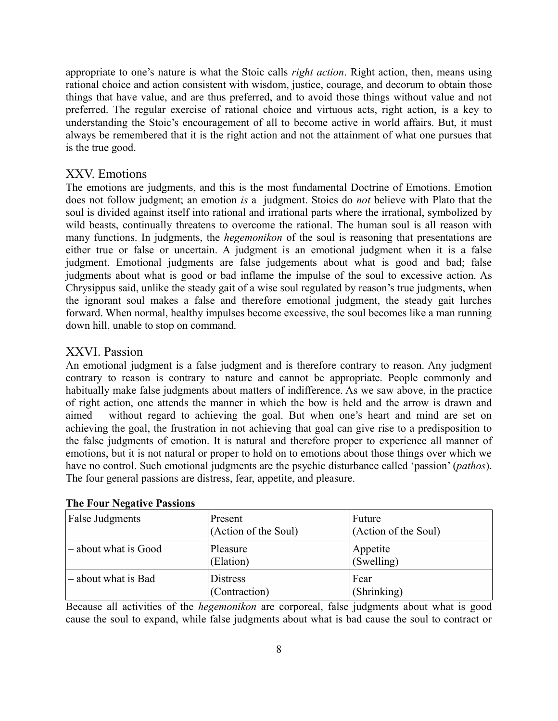appropriate to one's nature is what the Stoic calls *right action*. Right action, then, means using rational choice and action consistent with wisdom, justice, courage, and decorum to obtain those things that have value, and are thus preferred, and to avoid those things without value and not preferred. The regular exercise of rational choice and virtuous acts, right action, is a key to understanding the Stoic's encouragement of all to become active in world affairs. But, it must always be remembered that it is the right action and not the attainment of what one pursues that is the true good.

# XXV. Emotions

The emotions are judgments, and this is the most fundamental Doctrine of Emotions. Emotion does not follow judgment; an emotion *is* a judgment. Stoics do *not* believe with Plato that the soul is divided against itself into rational and irrational parts where the irrational, symbolized by wild beasts, continually threatens to overcome the rational. The human soul is all reason with many functions. In judgments, the *hegemonikon* of the soul is reasoning that presentations are either true or false or uncertain. A judgment is an emotional judgment when it is a false judgment. Emotional judgments are false judgements about what is good and bad; false judgments about what is good or bad inflame the impulse of the soul to excessive action. As Chrysippus said, unlike the steady gait of a wise soul regulated by reason's true judgments, when the ignorant soul makes a false and therefore emotional judgment, the steady gait lurches forward. When normal, healthy impulses become excessive, the soul becomes like a man running down hill, unable to stop on command.

# XXVI. Passion

An emotional judgment is a false judgment and is therefore contrary to reason. Any judgment contrary to reason is contrary to nature and cannot be appropriate. People commonly and habitually make false judgments about matters of indifference. As we saw above, in the practice of right action, one attends the manner in which the bow is held and the arrow is drawn and aimed – without regard to achieving the goal. But when one's heart and mind are set on achieving the goal, the frustration in not achieving that goal can give rise to a predisposition to the false judgments of emotion. It is natural and therefore proper to experience all manner of emotions, but it is not natural or proper to hold on to emotions about those things over which we have no control. Such emotional judgments are the psychic disturbance called 'passion' (*pathos*). The four general passions are distress, fear, appetite, and pleasure.

| $2.41$ $2.44$ $3.44$ $4.44$ $4.44$ $4.44$ $4.44$ $4.44$ |                                 |                                |  |
|---------------------------------------------------------|---------------------------------|--------------------------------|--|
| <b>False Judgments</b>                                  | Present<br>(Action of the Soul) | Future<br>(Action of the Soul) |  |
| - about what is Good                                    | Pleasure<br>(Elation)           | Appetite<br>(Swelling)         |  |
| - about what is Bad                                     | Distress<br>(Contraction)       | Fear<br>(Shrinking)            |  |

#### **The Four Negative Passions**

Because all activities of the *hegemonikon* are corporeal, false judgments about what is good cause the soul to expand, while false judgments about what is bad cause the soul to contract or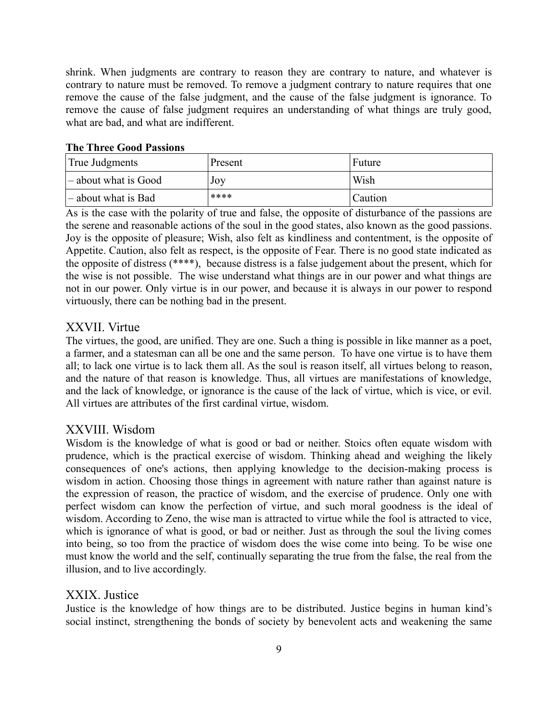shrink. When judgments are contrary to reason they are contrary to nature, and whatever is contrary to nature must be removed. To remove a judgment contrary to nature requires that one remove the cause of the false judgment, and the cause of the false judgment is ignorance. To remove the cause of false judgment requires an understanding of what things are truly good, what are bad, and what are indifferent.

#### **The Three Good Passions**

| True Judgments                    | Present | Future  |
|-----------------------------------|---------|---------|
| $\mathbf{a}$ – about what is Good | Joy     | Wish    |
| - about what is Bad               | ****    | Caution |

As is the case with the polarity of true and false, the opposite of disturbance of the passions are the serene and reasonable actions of the soul in the good states, also known as the good passions. Joy is the opposite of pleasure; Wish, also felt as kindliness and contentment, is the opposite of Appetite. Caution, also felt as respect, is the opposite of Fear. There is no good state indicated as the opposite of distress (\*\*\*\*), because distress is a false judgement about the present, which for the wise is not possible. The wise understand what things are in our power and what things are not in our power. Only virtue is in our power, and because it is always in our power to respond virtuously, there can be nothing bad in the present.

## XXVII. Virtue

The virtues, the good, are unified. They are one. Such a thing is possible in like manner as a poet, a farmer, and a statesman can all be one and the same person. To have one virtue is to have them all; to lack one virtue is to lack them all. As the soul is reason itself, all virtues belong to reason, and the nature of that reason is knowledge. Thus, all virtues are manifestations of knowledge, and the lack of knowledge, or ignorance is the cause of the lack of virtue, which is vice, or evil. All virtues are attributes of the first cardinal virtue, wisdom.

### XXVIII. Wisdom

Wisdom is the knowledge of what is good or bad or neither. Stoics often equate wisdom with prudence, which is the practical exercise of wisdom. Thinking ahead and weighing the likely consequences of one's actions, then applying knowledge to the decision-making process is wisdom in action. Choosing those things in agreement with nature rather than against nature is the expression of reason, the practice of wisdom, and the exercise of prudence. Only one with perfect wisdom can know the perfection of virtue, and such moral goodness is the ideal of wisdom. According to Zeno, the wise man is attracted to virtue while the fool is attracted to vice, which is ignorance of what is good, or bad or neither. Just as through the soul the living comes into being, so too from the practice of wisdom does the wise come into being. To be wise one must know the world and the self, continually separating the true from the false, the real from the illusion, and to live accordingly.

### XXIX. Justice

Justice is the knowledge of how things are to be distributed. Justice begins in human kind's social instinct, strengthening the bonds of society by benevolent acts and weakening the same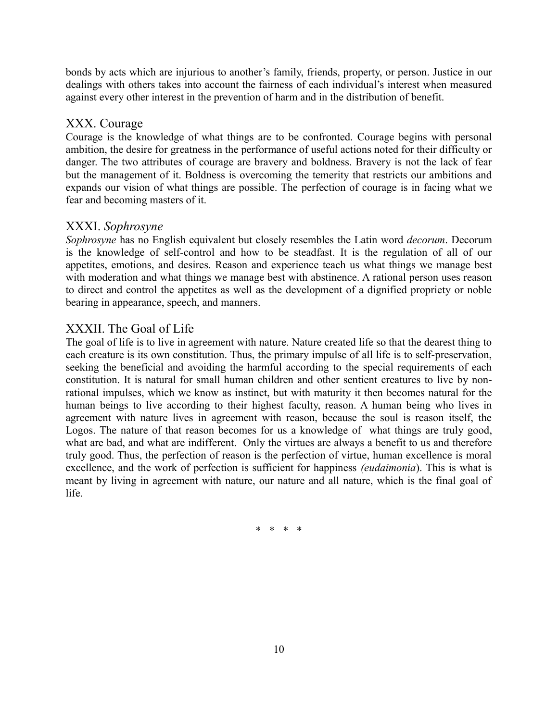bonds by acts which are injurious to another's family, friends, property, or person. Justice in our dealings with others takes into account the fairness of each individual's interest when measured against every other interest in the prevention of harm and in the distribution of benefit.

# XXX. Courage

Courage is the knowledge of what things are to be confronted. Courage begins with personal ambition, the desire for greatness in the performance of useful actions noted for their difficulty or danger. The two attributes of courage are bravery and boldness. Bravery is not the lack of fear but the management of it. Boldness is overcoming the temerity that restricts our ambitions and expands our vision of what things are possible. The perfection of courage is in facing what we fear and becoming masters of it.

# XXXI. *Sophrosyne*

*Sophrosyne* has no English equivalent but closely resembles the Latin word *decorum*. Decorum is the knowledge of self-control and how to be steadfast. It is the regulation of all of our appetites, emotions, and desires. Reason and experience teach us what things we manage best with moderation and what things we manage best with abstinence. A rational person uses reason to direct and control the appetites as well as the development of a dignified propriety or noble bearing in appearance, speech, and manners.

# XXXII. The Goal of Life

The goal of life is to live in agreement with nature. Nature created life so that the dearest thing to each creature is its own constitution. Thus, the primary impulse of all life is to self-preservation, seeking the beneficial and avoiding the harmful according to the special requirements of each constitution. It is natural for small human children and other sentient creatures to live by nonrational impulses, which we know as instinct, but with maturity it then becomes natural for the human beings to live according to their highest faculty, reason. A human being who lives in agreement with nature lives in agreement with reason, because the soul is reason itself, the Logos. The nature of that reason becomes for us a knowledge of what things are truly good, what are bad, and what are indifferent. Only the virtues are always a benefit to us and therefore truly good. Thus, the perfection of reason is the perfection of virtue, human excellence is moral excellence, and the work of perfection is sufficient for happiness *(eudaimonia*). This is what is meant by living in agreement with nature, our nature and all nature, which is the final goal of life.

\* \* \* \*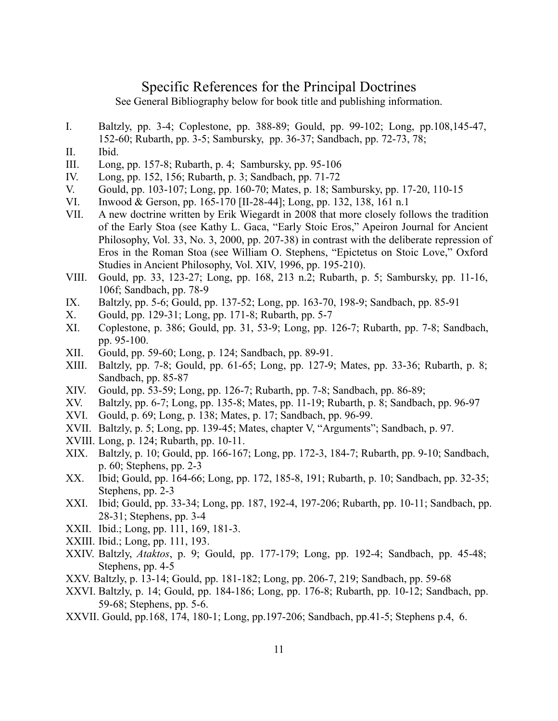# Specific References for the Principal Doctrines

See General Bibliography below for book title and publishing information.

- I. Baltzly, pp. 3-4; Coplestone, pp. 388-89; Gould, pp. 99-102; Long, pp.108,145-47, 152-60; Rubarth, pp. 3-5; Sambursky, pp. 36-37; Sandbach, pp. 72-73, 78;
- II. Ibid.
- III. Long, pp. 157-8; Rubarth, p. 4; Sambursky, pp. 95-106
- IV. Long, pp. 152, 156; Rubarth, p. 3; Sandbach, pp. 71-72
- V. Gould, pp. 103-107; Long, pp. 160-70; Mates, p. 18; Sambursky, pp. 17-20, 110-15
- VI. Inwood & Gerson, pp. 165-170 [II-28-44]; Long, pp. 132, 138, 161 n.1
- VII. A new doctrine written by Erik Wiegardt in 2008 that more closely follows the tradition of the Early Stoa (see Kathy L. Gaca, "Early Stoic Eros," Apeiron Journal for Ancient Philosophy, Vol. 33, No. 3, 2000, pp. 207-38) in contrast with the deliberate repression of Eros in the Roman Stoa (see William O. Stephens, "Epictetus on Stoic Love," Oxford Studies in Ancient Philosophy, Vol. XIV, 1996, pp. 195-210).
- VIII. Gould, pp. 33, 123-27; Long, pp. 168, 213 n.2; Rubarth, p. 5; Sambursky, pp. 11-16, 106f; Sandbach, pp. 78-9
- IX. Baltzly, pp. 5-6; Gould, pp. 137-52; Long, pp. 163-70, 198-9; Sandbach, pp. 85-91
- X. Gould, pp. 129-31; Long, pp. 171-8; Rubarth, pp. 5-7
- XI. Coplestone, p. 386; Gould, pp. 31, 53-9; Long, pp. 126-7; Rubarth, pp. 7-8; Sandbach, pp. 95-100.
- XII. Gould, pp. 59-60; Long, p. 124; Sandbach, pp. 89-91.
- XIII. Baltzly, pp. 7-8; Gould, pp. 61-65; Long, pp. 127-9; Mates, pp. 33-36; Rubarth, p. 8; Sandbach, pp. 85-87
- XIV. Gould, pp. 53-59; Long, pp. 126-7; Rubarth, pp. 7-8; Sandbach, pp. 86-89;
- XV. Baltzly, pp. 6-7; Long, pp. 135-8; Mates, pp. 11-19; Rubarth, p. 8; Sandbach, pp. 96-97
- XVI. Gould, p. 69; Long, p. 138; Mates, p. 17; Sandbach, pp. 96-99.
- XVII. Baltzly, p. 5; Long, pp. 139-45; Mates, chapter V, "Arguments"; Sandbach, p. 97.
- XVIII. Long, p. 124; Rubarth, pp. 10-11.
- XIX. Baltzly, p. 10; Gould, pp. 166-167; Long, pp. 172-3, 184-7; Rubarth, pp. 9-10; Sandbach, p. 60; Stephens, pp. 2-3
- XX. Ibid; Gould, pp. 164-66; Long, pp. 172, 185-8, 191; Rubarth, p. 10; Sandbach, pp. 32-35; Stephens, pp. 2-3
- XXI. Ibid; Gould, pp. 33-34; Long, pp. 187, 192-4, 197-206; Rubarth, pp. 10-11; Sandbach, pp. 28-31; Stephens, pp. 3-4
- XXII. Ibid.; Long, pp. 111, 169, 181-3.
- XXIII. Ibid.; Long, pp. 111, 193.
- XXIV. Baltzly, *Ataktos*, p. 9; Gould, pp. 177-179; Long, pp. 192-4; Sandbach, pp. 45-48; Stephens, pp. 4-5
- XXV. Baltzly, p. 13-14; Gould, pp. 181-182; Long, pp. 206-7, 219; Sandbach, pp. 59-68
- XXVI. Baltzly, p. 14; Gould, pp. 184-186; Long, pp. 176-8; Rubarth, pp. 10-12; Sandbach, pp. 59-68; Stephens, pp. 5-6.
- XXVII. Gould, pp.168, 174, 180-1; Long, pp.197-206; Sandbach, pp.41-5; Stephens p.4, 6.